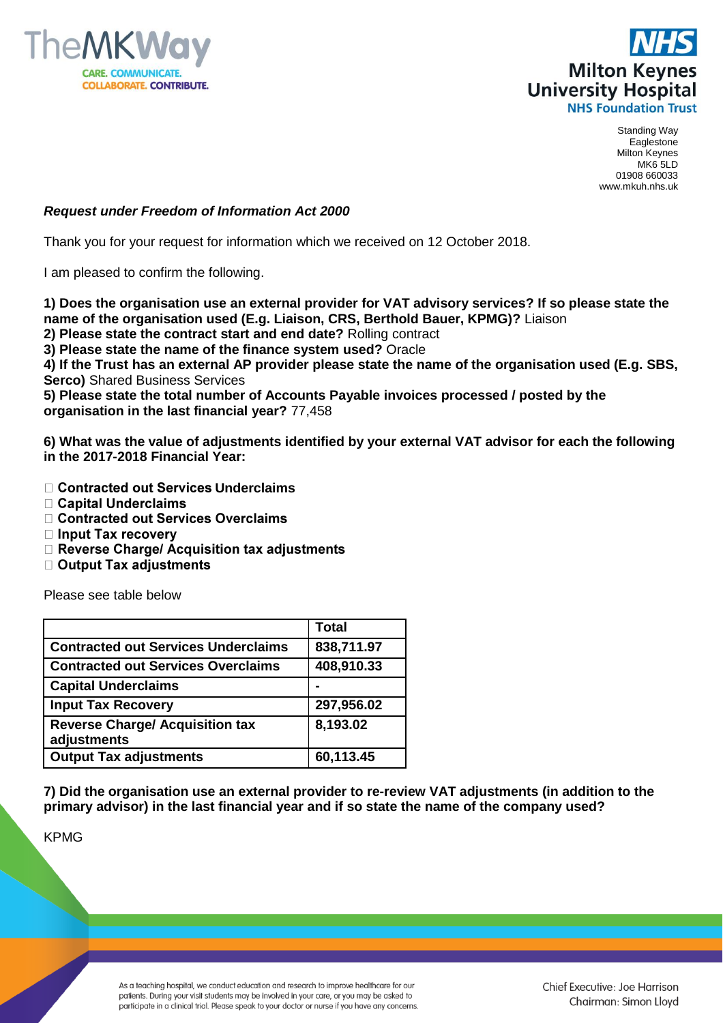



Standing Way Eaglestone Milton Keynes MK6 5LD 01908 660033 www.mkuh.nhs.uk

## *Request under Freedom of Information Act 2000*

Thank you for your request for information which we received on 12 October 2018.

I am pleased to confirm the following.

**1) Does the organisation use an external provider for VAT advisory services? If so please state the name of the organisation used (E.g. Liaison, CRS, Berthold Bauer, KPMG)?** Liaison **2) Please state the contract start and end date?** Rolling contract

**3) Please state the name of the finance system used?** Oracle

**4) If the Trust has an external AP provider please state the name of the organisation used (E.g. SBS, Serco)** Shared Business Services

**5) Please state the total number of Accounts Payable invoices processed / posted by the organisation in the last financial year?** 77,458

**6) What was the value of adjustments identified by your external VAT advisor for each the following in the 2017-2018 Financial Year:**

- **□ Contracted out Services Underclaims**
- □ Capital Underclaims
- □ Contracted out Services Overclaims
- □ Input Tax recovery
- □ Reverse Charge/ Acquisition tax adjustments
- □ Output Tax adjustments

Please see table below

|                                                       | <b>Total</b> |
|-------------------------------------------------------|--------------|
| <b>Contracted out Services Underclaims</b>            | 838,711.97   |
| <b>Contracted out Services Overclaims</b>             | 408,910.33   |
| <b>Capital Underclaims</b>                            |              |
| <b>Input Tax Recovery</b>                             | 297,956.02   |
| <b>Reverse Charge/ Acquisition tax</b><br>adjustments | 8,193.02     |
| <b>Output Tax adjustments</b>                         | 60,113.45    |

**7) Did the organisation use an external provider to re-review VAT adjustments (in addition to the primary advisor) in the last financial year and if so state the name of the company used?**

KPMG

As a teaching hospital, we conduct education and research to improve healthcare for our patients. During your visit students may be involved in your care, or you may be asked to participate in a clinical trial. Please speak to your doctor or nurse if you have any concerns.